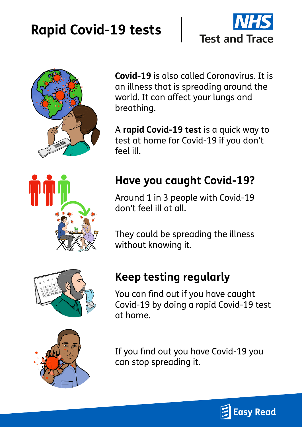# **Rapid Covid-19 tests**





**tti and** 

**Covid-19** is also called Coronavirus. It is an illness that is spreading around the world. It can affect your lungs and breathing.

A **rapid Covid-19 test** is a quick way to test at home for Covid-19 if you don't feel ill.

## **Have you caught Covid-19?**

Around 1 in 3 people with Covid-19 don't feel ill at all.

... ♦,: .- . . They could be spreading the illness without knowing it.

### **Keep testing regularly**

You can find out if you have caught Covid-19 by doing a rapid Covid-19 test at home.



If you find out you have Covid-19 you can stop spreading it.

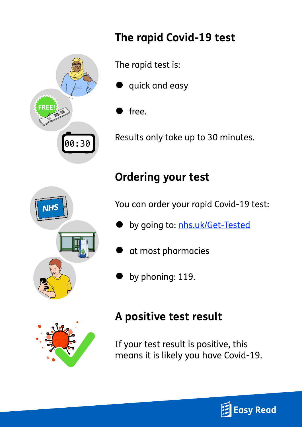

**The rapid Covid-19 test** 

The rapid test is:

- quick and easy
- free.

Results only take up to 30 minutes.

## **Ordering your test**



You can order your rapid Covid-19 test:

- by going to: nhs.uk/Get-Tested
	- at most pharmacies
- by phoning: 119.



### **A positive test result**

If your test result is positive, this means it is likely you have Covid-19.

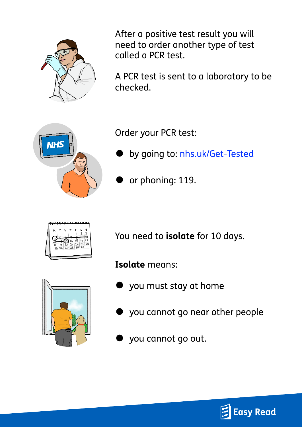

After a positive test result you will need to order another type of test called a PCR test.

A PCR test is sent to a laboratory to be checked.



Order your PCR test:

- by going to: [nhs.uk/Get-Tested](http://nhs.uk/Get-Tested)
- or phoning: 119.



You need to **isolate** for 10 days.



**Isolate** means:

- you must stay at home
- you cannot go near other people
- you cannot go out.